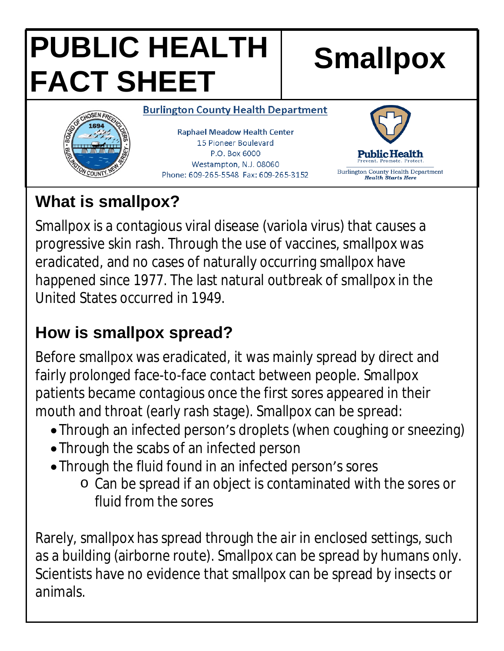# **PUBLIC HEALTH FACT SHEET**

**Smallpox**

**Burlington County Health Department** 

**Raphael Meadow Health Center** 15 Pioneer Boulevard P.O. Box 6000 Westampton, N.J. 08060 Phone: 609-265-5548 Fax: 609-265-3152



# **What is smallpox?**

Smallpox is a contagious viral disease (variola virus) that causes a progressive skin rash*.* Through the use of vaccines, smallpox was eradicated, and no cases of naturally occurring smallpox have happened since 1977. The last natural outbreak of smallpox in the United States occurred in 1949.

# **How is smallpox spread?**

Before smallpox was eradicated, it was mainly spread by direct and fairly prolonged face-to-face contact between people. Smallpox patients became contagious once the first sores appeared in their mouth and throat (early rash stage). Smallpox can be spread:

- Through an infected person's droplets (when coughing or sneezing)
- Through the scabs of an infected person
- Through the fluid found in an infected person's sores
	- o Can be spread if an object is contaminated with the sores or fluid from the sores

Rarely, smallpox has spread through the air in enclosed settings, such as a building (airborne route). Smallpox can be spread by humans only. Scientists have no evidence that smallpox can be spread by insects or animals.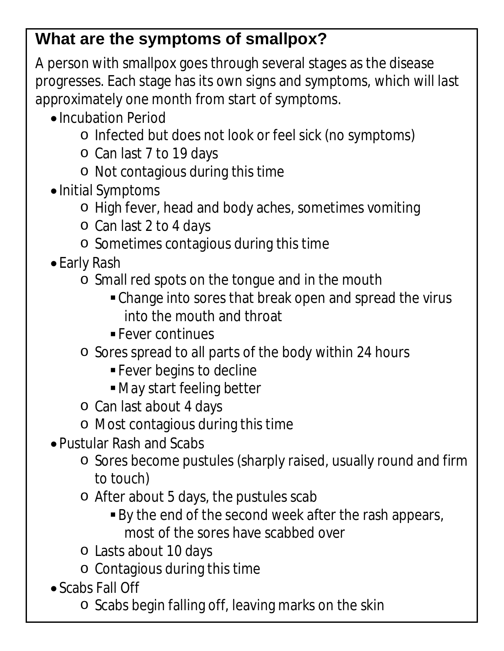#### **What are the symptoms of smallpox?**

A person with smallpox goes through several stages as the disease progresses. Each stage has its own signs and symptoms, which will last approximately one month from start of symptoms.

- Incubation Period
	- o Infected but does not look or feel sick (no symptoms)
	- o Can last 7 to 19 days
	- o Not contagious during this time
- Initial Symptoms
	- o High fever, head and body aches, sometimes vomiting
	- o Can last 2 to 4 days
	- o Sometimes contagious during this time
- Early Rash
	- o Small red spots on the tongue and in the mouth
		- Change into sores that break open and spread the virus into the mouth and throat
		- **Fever continues**
	- o Sores spread to all parts of the body within 24 hours
		- **Fever begins to decline**
		- May start feeling better
	- o Can last about 4 days
	- o Most contagious during this time
- Pustular Rash and Scabs
	- o Sores become pustules (sharply raised, usually round and firm to touch)
	- o After about 5 days, the pustules scab
		- By the end of the second week after the rash appears, most of the sores have scabbed over
	- o Lasts about 10 days
	- o Contagious during this time
- Scabs Fall Off
	- o Scabs begin falling off, leaving marks on the skin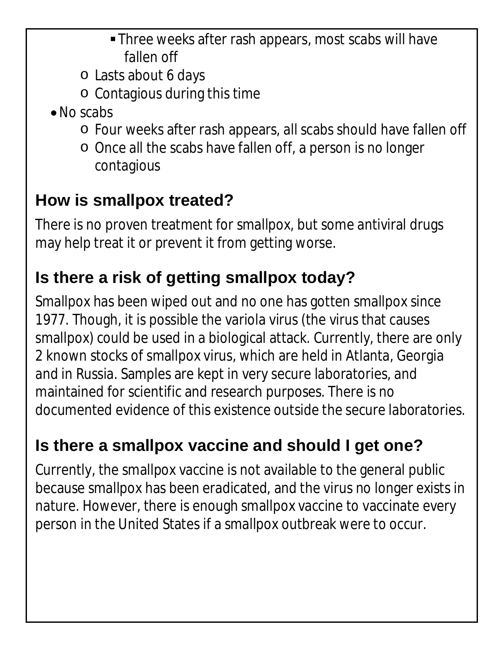- Three weeks after rash appears, most scabs will have fallen off
- o Lasts about 6 days
- o Contagious during this time
- No scabs
	- o Four weeks after rash appears, all scabs should have fallen off
	- o Once all the scabs have fallen off, a person is no longer contagious

### **How is smallpox treated?**

There is no proven treatment for smallpox, but some antiviral drugs may help treat it or prevent it from getting worse.

#### **Is there a risk of getting smallpox today?**

Smallpox has been wiped out and no one has gotten smallpox since 1977. Though, it is possible the variola virus (the virus that causes smallpox) could be used in a biological attack. Currently, there are only 2 known stocks of smallpox virus, which are held in Atlanta, Georgia and in Russia. Samples are kept in very secure laboratories, and maintained for scientific and research purposes. There is no documented evidence of this existence outside the secure laboratories.

# **Is there a smallpox vaccine and should I get one?**

Currently, the smallpox vaccine is not available to the general public because smallpox has been eradicated, and the virus no longer exists in nature. However, there is enough smallpox vaccine to vaccinate every person in the United States if a smallpox outbreak were to occur.